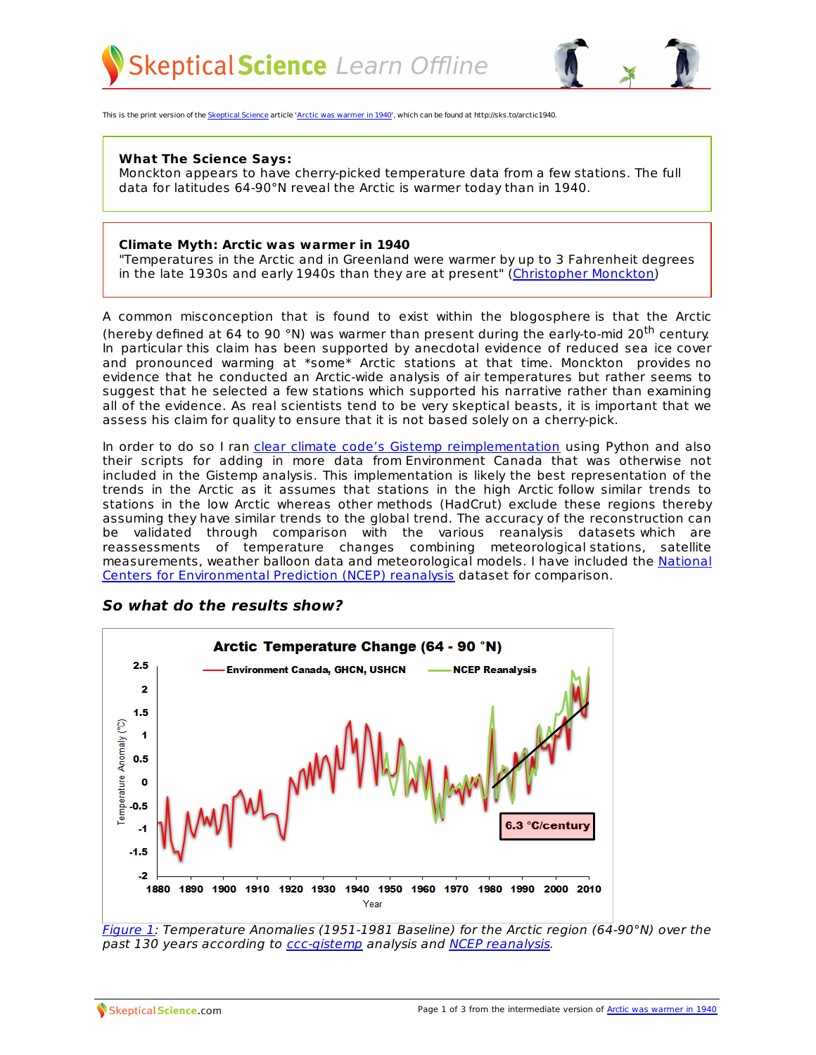

This is the print version of the [Skeptical](http://skepticalscience.com) Science article 'Arctic was [warmer](http://skepticalscience.com/arctic-was-warmer-in-1940.htm) in 1940', which can be found at http://sks.to/arctic1940.

## **What The Science Says:**

Monckton appears to have cherry-picked temperature data from a few stations. The full data for latitudes 64-90°N reveal the Arctic is warmer today than in 1940.

## **Climate Myth: Arctic was warmer in 1940**

"Temperatures in the Arctic and in Greenland were warmer by up to 3 Fahrenheit degrees in the late 1930s and early 1940s than they are at present" ([Christopher](http://scienceandpublicpolicy.org/images/stories/papers/originals/Monckton_Arctic_and_Sealevel.pdf) Monckton)

A common misconception that is found to exist within the blogosphere is that the Arctic (hereby defined at 64 to 90 °N) was warmer than present during the early-to-mid 20<sup>th</sup> century. In particular this claim has been supported by anecdotal evidence of reduced sea ice cover and pronounced warming at \*some\* Arctic stations at that time. Monckton provides no evidence that he conducted an Arctic-wide analysis of air temperatures but rather seems to suggest that he selected a few stations which supported his narrative rather than examining all of the evidence. As real scientists tend to be very skeptical beasts, it is important that we assess his claim for quality to ensure that it is not based solely on a cherry-pick.

In order to do so I ran *clear climate code's Gistemp [reimplementation](http://clearclimatecode.org/)* using Python and also their scripts for adding in more data from Environment Canada that was otherwise not included in the Gistemp analysis. This implementation is likely the best representation of the trends in the Arctic as it assumes that stations in the high Arctic follow similar trends to stations in the low Arctic whereas other methods (HadCrut) exclude these regions thereby assuming they have similar trends to the global trend. The accuracy of the reconstruction can be validated through comparison with the various reanalysis datasets which are reassessments of temperature changes combining meteorological stations, satellite [measurements,](http://www.cpc.ncep.noaa.gov/products/wesley/reanalysis.html) weather balloon data and meteorological models. I have included the National Centers for Environmental Prediction (NCEP) reanalysis dataset for comparison.



## **So what do the results show?**

[Figure](http://www.skepticalscience.com/pics/ArcticTC1880-2010NCEP.png) 1: Temperature Anomalies (1951-1981 Baseline) for the Arctic region (64-90°N) over the past 130 years according to [ccc-gistemp](http://clearclimatecode.org/) analysis and NCEP [reanalysis](http://www.esrl.noaa.gov/psd/data/gridded/data.ncep.reanalysis.html).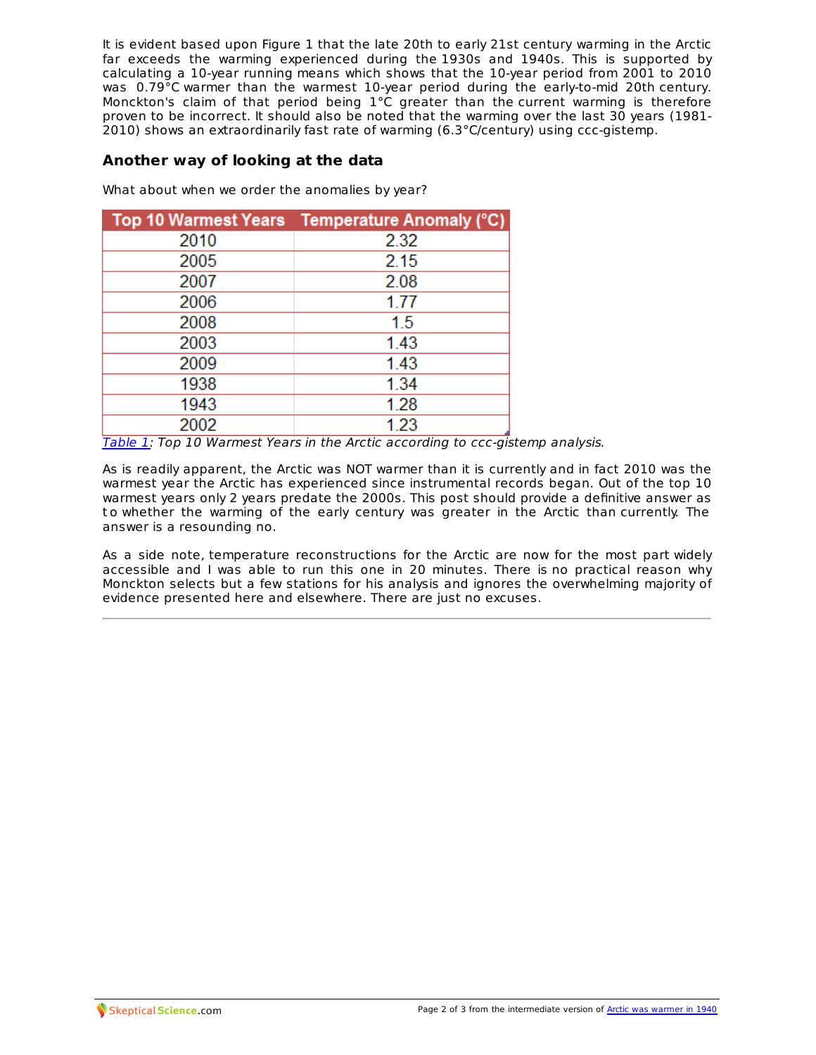It is evident based upon Figure 1 that the late 20th to early 21st century warming in the Arctic far exceeds the warming experienced during the 1930s and 1940s. This is supported by calculating a 10-year running means which shows that the 10-year period from 2001 to 2010 was 0.79°C warmer than the warmest 10-year period during the early-to-mid 20th century. Monckton's claim of that period being 1°C greater than the current warming is therefore proven to be incorrect. It should also be noted that the warming over the last 30 years (1981- 2010) shows an extraordinarily fast rate of warming (6.3°C/century) using ccc-gistemp.

## **Another way of looking at the data**

What about when we order the anomalies by year?

|      | Top 10 Warmest Years Temperature Anomaly (°C) |
|------|-----------------------------------------------|
| 2010 | 2.32                                          |
| 2005 | 2.15                                          |
| 2007 | 2.08                                          |
| 2006 | 1.77                                          |
| 2008 | 1.5                                           |
| 2003 | 1.43                                          |
| 2009 | 1.43                                          |
| 1938 | 1.34                                          |
| 1943 | 1.28                                          |
| 2002 | 1.23                                          |

[Table](http://www.skepticalscience.com/pics/NumberedYears.png) 1: Top 10 Warmest Years in the Arctic according to ccc-gistemp analysis.

As is readily apparent, the Arctic was NOT warmer than it is currently and in fact 2010 was the warmest year the Arctic has experienced since instrumental records began. Out of the top 10 warmest years only 2 years predate the 2000s. This post should provide a definitive answer as t o whether the warming of the early century was greater in the Arctic than currently. The answer is a resounding no.

As a side note, temperature reconstructions for the Arctic are now for the most part widely accessible and I was able to run this one in 20 minutes. There is no practical reason why Monckton selects but a few stations for his analysis and ignores the overwhelming majority of evidence presented here and elsewhere. There are just no excuses.